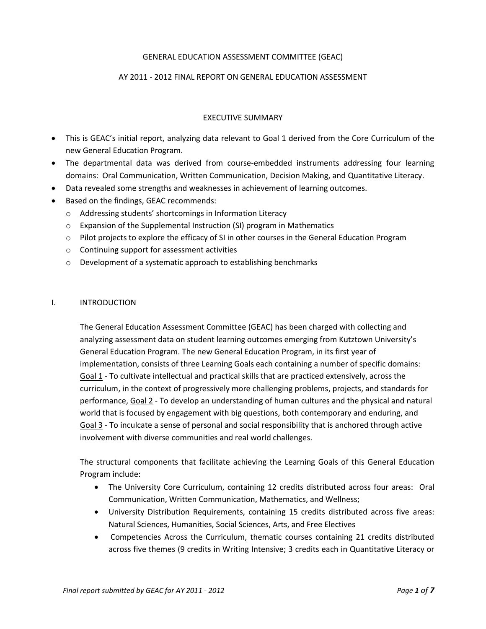# GENERAL EDUCATION ASSESSMENT COMMITTEE (GEAC)

### AY 2011 - 2012 FINAL REPORT ON GENERAL EDUCATION ASSESSMENT

### EXECUTIVE SUMMARY

- This is GEAC's initial report, analyzing data relevant to Goal 1 derived from the Core Curriculum of the new General Education Program.
- The departmental data was derived from course-embedded instruments addressing four learning domains: Oral Communication, Written Communication, Decision Making, and Quantitative Literacy.
- Data revealed some strengths and weaknesses in achievement of learning outcomes.
- Based on the findings, GEAC recommends:
	- o Addressing students' shortcomings in Information Literacy
	- o Expansion of the Supplemental Instruction (SI) program in Mathematics
	- o Pilot projects to explore the efficacy of SI in other courses in the General Education Program
	- o Continuing support for assessment activities
	- o Development of a systematic approach to establishing benchmarks

#### I. INTRODUCTION

The General Education Assessment Committee (GEAC) has been charged with collecting and analyzing assessment data on student learning outcomes emerging from Kutztown University's General Education Program. The new General Education Program, in its first year of implementation, consists of three Learning Goals each containing a number of specific domains: Goal 1 - To cultivate intellectual and practical skills that are practiced extensively, across the curriculum, in the context of progressively more challenging problems, projects, and standards for performance, Goal 2 - To develop an understanding of human cultures and the physical and natural world that is focused by engagement with big questions, both contemporary and enduring, and Goal 3 - To inculcate a sense of personal and social responsibility that is anchored through active involvement with diverse communities and real world challenges.

The structural components that facilitate achieving the Learning Goals of this General Education Program include:

- The University Core Curriculum, containing 12 credits distributed across four areas: Oral Communication, Written Communication, Mathematics, and Wellness;
- University Distribution Requirements, containing 15 credits distributed across five areas: Natural Sciences, Humanities, Social Sciences, Arts, and Free Electives
- Competencies Across the Curriculum, thematic courses containing 21 credits distributed across five themes (9 credits in Writing Intensive; 3 credits each in Quantitative Literacy or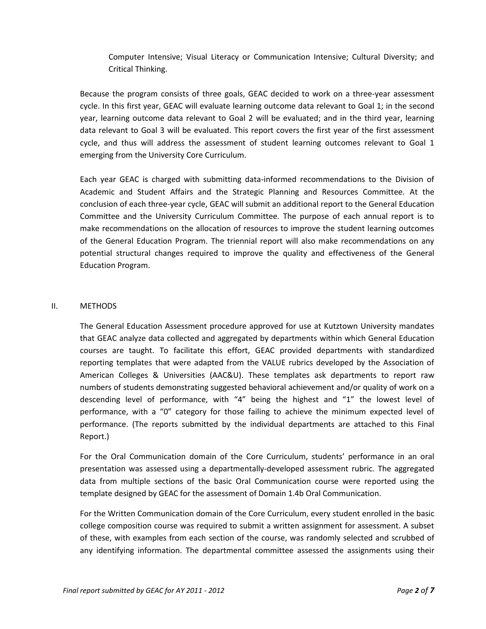Computer Intensive; Visual Literacy or Communication Intensive; Cultural Diversity; and Critical Thinking.

Because the program consists of three goals, GEAC decided to work on a three-year assessment cycle. In this first year, GEAC will evaluate learning outcome data relevant to Goal 1; in the second year, learning outcome data relevant to Goal 2 will be evaluated; and in the third year, learning data relevant to Goal 3 will be evaluated. This report covers the first year of the first assessment cycle, and thus will address the assessment of student learning outcomes relevant to Goal 1 emerging from the University Core Curriculum.

Each year GEAC is charged with submitting data-informed recommendations to the Division of Academic and Student Affairs and the Strategic Planning and Resources Committee. At the conclusion of each three-year cycle, GEAC will submit an additional report to the General Education Committee and the University Curriculum Committee. The purpose of each annual report is to make recommendations on the allocation of resources to improve the student learning outcomes of the General Education Program. The triennial report will also make recommendations on any potential structural changes required to improve the quality and effectiveness of the General Education Program.

# II. METHODS

The General Education Assessment procedure approved for use at Kutztown University mandates that GEAC analyze data collected and aggregated by departments within which General Education courses are taught. To facilitate this effort, GEAC provided departments with standardized reporting templates that were adapted from the VALUE rubrics developed by the Association of American Colleges & Universities (AAC&U). These templates ask departments to report raw numbers of students demonstrating suggested behavioral achievement and/or quality of work on a descending level of performance, with "4" being the highest and "1" the lowest level of performance, with a "0" category for those failing to achieve the minimum expected level of performance. (The reports submitted by the individual departments are attached to this Final Report.)

For the Oral Communication domain of the Core Curriculum, students' performance in an oral presentation was assessed using a departmentally-developed assessment rubric. The aggregated data from multiple sections of the basic Oral Communication course were reported using the template designed by GEAC for the assessment of Domain 1.4b Oral Communication.

For the Written Communication domain of the Core Curriculum, every student enrolled in the basic college composition course was required to submit a written assignment for assessment. A subset of these, with examples from each section of the course, was randomly selected and scrubbed of any identifying information. The departmental committee assessed the assignments using their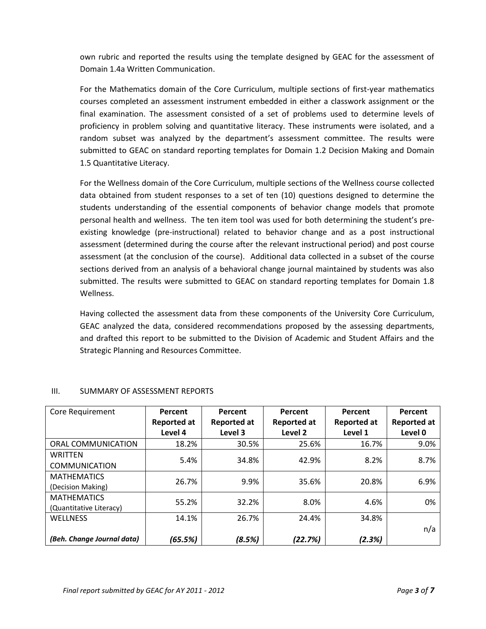own rubric and reported the results using the template designed by GEAC for the assessment of Domain 1.4a Written Communication.

For the Mathematics domain of the Core Curriculum, multiple sections of first-year mathematics courses completed an assessment instrument embedded in either a classwork assignment or the final examination. The assessment consisted of a set of problems used to determine levels of proficiency in problem solving and quantitative literacy. These instruments were isolated, and a random subset was analyzed by the department's assessment committee. The results were submitted to GEAC on standard reporting templates for Domain 1.2 Decision Making and Domain 1.5 Quantitative Literacy.

For the Wellness domain of the Core Curriculum, multiple sections of the Wellness course collected data obtained from student responses to a set of ten (10) questions designed to determine the students understanding of the essential components of behavior change models that promote personal health and wellness. The ten item tool was used for both determining the student's preexisting knowledge (pre-instructional) related to behavior change and as a post instructional assessment (determined during the course after the relevant instructional period) and post course assessment (at the conclusion of the course). Additional data collected in a subset of the course sections derived from an analysis of a behavioral change journal maintained by students was also submitted. The results were submitted to GEAC on standard reporting templates for Domain 1.8 Wellness.

Having collected the assessment data from these components of the University Core Curriculum, GEAC analyzed the data, considered recommendations proposed by the assessing departments, and drafted this report to be submitted to the Division of Academic and Student Affairs and the Strategic Planning and Resources Committee.

| Core Requirement           | Percent            | Percent            | Percent            | Percent     | Percent            |
|----------------------------|--------------------|--------------------|--------------------|-------------|--------------------|
|                            | <b>Reported at</b> | <b>Reported at</b> | <b>Reported at</b> | Reported at | <b>Reported at</b> |
|                            | Level 4            | Level 3            | Level 2            | Level 1     | Level 0            |
| ORAL COMMUNICATION         | 18.2%              | 30.5%              | 25.6%              | 16.7%       | 9.0%               |
| <b>WRITTEN</b>             | 5.4%               | 34.8%              | 42.9%              | 8.2%        | 8.7%               |
| <b>COMMUNICATION</b>       |                    |                    |                    |             |                    |
| <b>MATHEMATICS</b>         | 26.7%              | 9.9%               | 35.6%              | 20.8%       | 6.9%               |
| (Decision Making)          |                    |                    |                    |             |                    |
| <b>MATHEMATICS</b>         | 55.2%              | 32.2%              | 8.0%               | 4.6%        | 0%                 |
| (Quantitative Literacy)    |                    |                    |                    |             |                    |
| <b>WELLNESS</b>            | 14.1%              | 26.7%              | 24.4%              | 34.8%       |                    |
|                            |                    |                    |                    |             | n/a                |
| (Beh. Change Journal data) | (65.5%)            | (8.5%)             | (22.7%)            | (2.3%)      |                    |

# III. SUMMARY OF ASSESSMENT REPORTS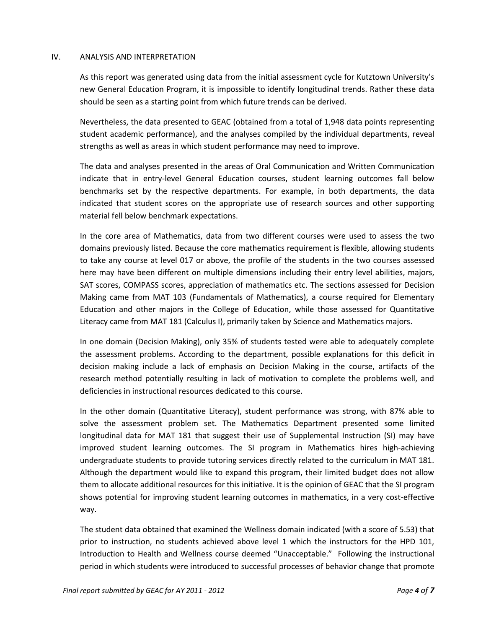### IV. ANALYSIS AND INTERPRETATION

As this report was generated using data from the initial assessment cycle for Kutztown University's new General Education Program, it is impossible to identify longitudinal trends. Rather these data should be seen as a starting point from which future trends can be derived.

Nevertheless, the data presented to GEAC (obtained from a total of 1,948 data points representing student academic performance), and the analyses compiled by the individual departments, reveal strengths as well as areas in which student performance may need to improve.

The data and analyses presented in the areas of Oral Communication and Written Communication indicate that in entry-level General Education courses, student learning outcomes fall below benchmarks set by the respective departments. For example, in both departments, the data indicated that student scores on the appropriate use of research sources and other supporting material fell below benchmark expectations.

In the core area of Mathematics, data from two different courses were used to assess the two domains previously listed. Because the core mathematics requirement is flexible, allowing students to take any course at level 017 or above, the profile of the students in the two courses assessed here may have been different on multiple dimensions including their entry level abilities, majors, SAT scores, COMPASS scores, appreciation of mathematics etc. The sections assessed for Decision Making came from MAT 103 (Fundamentals of Mathematics), a course required for Elementary Education and other majors in the College of Education, while those assessed for Quantitative Literacy came from MAT 181 (Calculus I), primarily taken by Science and Mathematics majors.

In one domain (Decision Making), only 35% of students tested were able to adequately complete the assessment problems. According to the department, possible explanations for this deficit in decision making include a lack of emphasis on Decision Making in the course, artifacts of the research method potentially resulting in lack of motivation to complete the problems well, and deficiencies in instructional resources dedicated to this course.

In the other domain (Quantitative Literacy), student performance was strong, with 87% able to solve the assessment problem set. The Mathematics Department presented some limited longitudinal data for MAT 181 that suggest their use of Supplemental Instruction (SI) may have improved student learning outcomes. The SI program in Mathematics hires high-achieving undergraduate students to provide tutoring services directly related to the curriculum in MAT 181. Although the department would like to expand this program, their limited budget does not allow them to allocate additional resources for this initiative. It is the opinion of GEAC that the SI program shows potential for improving student learning outcomes in mathematics, in a very cost-effective way.

The student data obtained that examined the Wellness domain indicated (with a score of 5.53) that prior to instruction, no students achieved above level 1 which the instructors for the HPD 101, Introduction to Health and Wellness course deemed "Unacceptable." Following the instructional period in which students were introduced to successful processes of behavior change that promote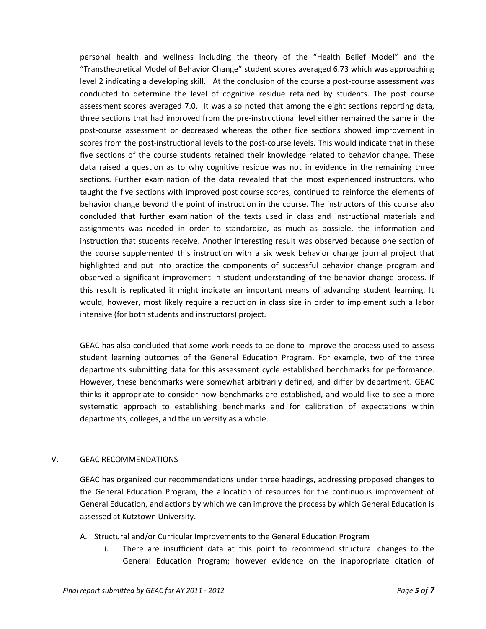personal health and wellness including the theory of the "Health Belief Model" and the "Transtheoretical Model of Behavior Change" student scores averaged 6.73 which was approaching level 2 indicating a developing skill. At the conclusion of the course a post-course assessment was conducted to determine the level of cognitive residue retained by students. The post course assessment scores averaged 7.0. It was also noted that among the eight sections reporting data, three sections that had improved from the pre-instructional level either remained the same in the post-course assessment or decreased whereas the other five sections showed improvement in scores from the post-instructional levels to the post-course levels. This would indicate that in these five sections of the course students retained their knowledge related to behavior change. These data raised a question as to why cognitive residue was not in evidence in the remaining three sections. Further examination of the data revealed that the most experienced instructors, who taught the five sections with improved post course scores, continued to reinforce the elements of behavior change beyond the point of instruction in the course. The instructors of this course also concluded that further examination of the texts used in class and instructional materials and assignments was needed in order to standardize, as much as possible, the information and instruction that students receive. Another interesting result was observed because one section of the course supplemented this instruction with a six week behavior change journal project that highlighted and put into practice the components of successful behavior change program and observed a significant improvement in student understanding of the behavior change process. If this result is replicated it might indicate an important means of advancing student learning. It would, however, most likely require a reduction in class size in order to implement such a labor intensive (for both students and instructors) project.

GEAC has also concluded that some work needs to be done to improve the process used to assess student learning outcomes of the General Education Program. For example, two of the three departments submitting data for this assessment cycle established benchmarks for performance. However, these benchmarks were somewhat arbitrarily defined, and differ by department. GEAC thinks it appropriate to consider how benchmarks are established, and would like to see a more systematic approach to establishing benchmarks and for calibration of expectations within departments, colleges, and the university as a whole.

# V. GEAC RECOMMENDATIONS

GEAC has organized our recommendations under three headings, addressing proposed changes to the General Education Program, the allocation of resources for the continuous improvement of General Education, and actions by which we can improve the process by which General Education is assessed at Kutztown University.

- A. Structural and/or Curricular Improvements to the General Education Program
	- i. There are insufficient data at this point to recommend structural changes to the General Education Program; however evidence on the inappropriate citation of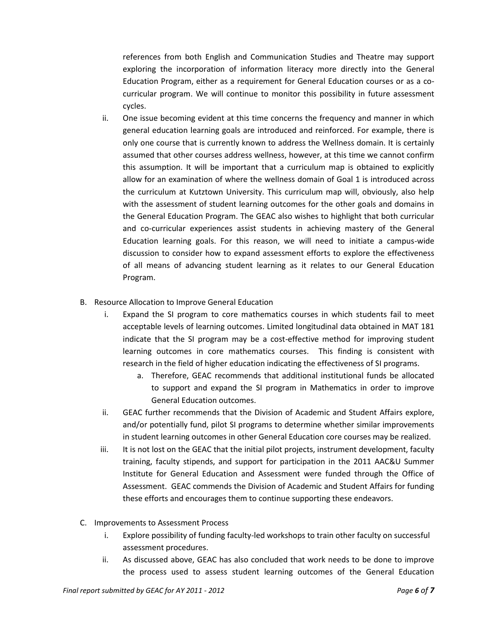references from both English and Communication Studies and Theatre may support exploring the incorporation of information literacy more directly into the General Education Program, either as a requirement for General Education courses or as a cocurricular program. We will continue to monitor this possibility in future assessment cycles.

- ii. One issue becoming evident at this time concerns the frequency and manner in which general education learning goals are introduced and reinforced. For example, there is only one course that is currently known to address the Wellness domain. It is certainly assumed that other courses address wellness, however, at this time we cannot confirm this assumption. It will be important that a curriculum map is obtained to explicitly allow for an examination of where the wellness domain of Goal 1 is introduced across the curriculum at Kutztown University. This curriculum map will, obviously, also help with the assessment of student learning outcomes for the other goals and domains in the General Education Program. The GEAC also wishes to highlight that both curricular and co-curricular experiences assist students in achieving mastery of the General Education learning goals. For this reason, we will need to initiate a campus-wide discussion to consider how to expand assessment efforts to explore the effectiveness of all means of advancing student learning as it relates to our General Education Program.
- B. Resource Allocation to Improve General Education
	- i. Expand the SI program to core mathematics courses in which students fail to meet acceptable levels of learning outcomes. Limited longitudinal data obtained in MAT 181 indicate that the SI program may be a cost-effective method for improving student learning outcomes in core mathematics courses. This finding is consistent with research in the field of higher education indicating the effectiveness of SI programs.
		- a. Therefore, GEAC recommends that additional institutional funds be allocated to support and expand the SI program in Mathematics in order to improve General Education outcomes.
	- ii. GEAC further recommends that the Division of Academic and Student Affairs explore, and/or potentially fund, pilot SI programs to determine whether similar improvements in student learning outcomes in other General Education core courses may be realized.
	- iii. It is not lost on the GEAC that the initial pilot projects, instrument development, faculty training, faculty stipends, and support for participation in the 2011 AAC&U Summer Institute for General Education and Assessment were funded through the Office of Assessment. GEAC commends the Division of Academic and Student Affairs for funding these efforts and encourages them to continue supporting these endeavors.
- C. Improvements to Assessment Process
	- i. Explore possibility of funding faculty-led workshops to train other faculty on successful assessment procedures.
	- ii. As discussed above, GEAC has also concluded that work needs to be done to improve the process used to assess student learning outcomes of the General Education